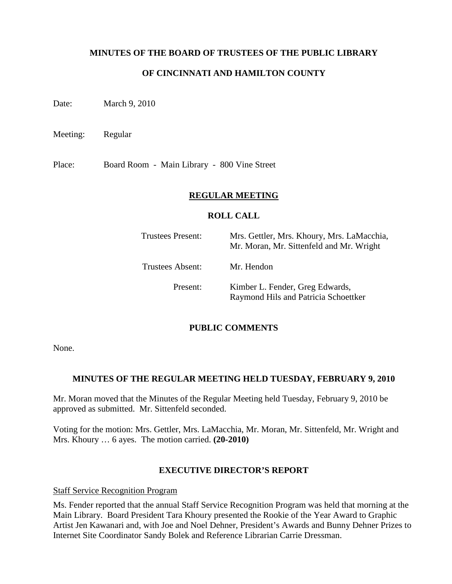#### **MINUTES OF THE BOARD OF TRUSTEES OF THE PUBLIC LIBRARY**

## **OF CINCINNATI AND HAMILTON COUNTY**

Date: March 9, 2010

Meeting: Regular

Place: Board Room - Main Library - 800 Vine Street

#### **REGULAR MEETING**

#### **ROLL CALL**

| Trustees Present: | Mrs. Gettler, Mrs. Khoury, Mrs. LaMacchia,<br>Mr. Moran, Mr. Sittenfeld and Mr. Wright |
|-------------------|----------------------------------------------------------------------------------------|
| Trustees Absent:  | Mr. Hendon                                                                             |
| Present:          | Kimber L. Fender, Greg Edwards,<br>Raymond Hils and Patricia Schoettker                |

#### **PUBLIC COMMENTS**

None.

#### **MINUTES OF THE REGULAR MEETING HELD TUESDAY, FEBRUARY 9, 2010**

Mr. Moran moved that the Minutes of the Regular Meeting held Tuesday, February 9, 2010 be approved as submitted. Mr. Sittenfeld seconded.

Voting for the motion: Mrs. Gettler, Mrs. LaMacchia, Mr. Moran, Mr. Sittenfeld, Mr. Wright and Mrs. Khoury … 6 ayes. The motion carried. **(20-2010)**

#### **EXECUTIVE DIRECTOR'S REPORT**

Staff Service Recognition Program

Ms. Fender reported that the annual Staff Service Recognition Program was held that morning at the Main Library. Board President Tara Khoury presented the Rookie of the Year Award to Graphic Artist Jen Kawanari and, with Joe and Noel Dehner, President's Awards and Bunny Dehner Prizes to Internet Site Coordinator Sandy Bolek and Reference Librarian Carrie Dressman.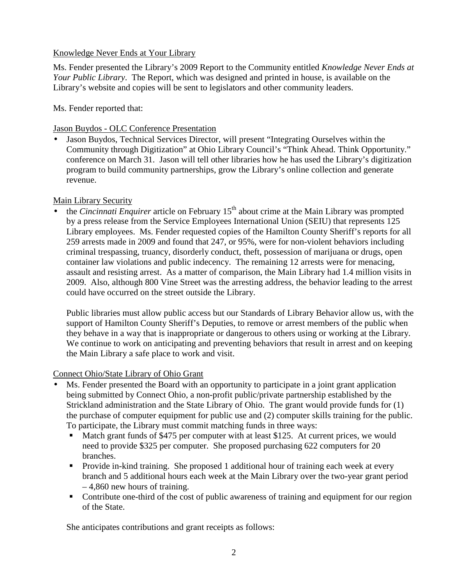## Knowledge Never Ends at Your Library

Ms. Fender presented the Library's 2009 Report to the Community entitled *Knowledge Never Ends at Your Public Library*. The Report, which was designed and printed in house, is available on the Library's website and copies will be sent to legislators and other community leaders.

Ms. Fender reported that:

Jason Buydos - OLC Conference Presentation

• Jason Buydos, Technical Services Director, will present "Integrating Ourselves within the Community through Digitization" at Ohio Library Council's "Think Ahead. Think Opportunity." conference on March 31. Jason will tell other libraries how he has used the Library's digitization program to build community partnerships, grow the Library's online collection and generate revenue.

## Main Library Security

the *Cincinnati Enquirer* article on February 15<sup>th</sup> about crime at the Main Library was prompted by a press release from the Service Employees International Union (SEIU) that represents 125 Library employees. Ms. Fender requested copies of the Hamilton County Sheriff's reports for all 259 arrests made in 2009 and found that 247, or 95%, were for non-violent behaviors including criminal trespassing, truancy, disorderly conduct, theft, possession of marijuana or drugs, open container law violations and public indecency. The remaining 12 arrests were for menacing, assault and resisting arrest. As a matter of comparison, the Main Library had 1.4 million visits in 2009. Also, although 800 Vine Street was the arresting address, the behavior leading to the arrest could have occurred on the street outside the Library.

Public libraries must allow public access but our Standards of Library Behavior allow us, with the support of Hamilton County Sheriff's Deputies, to remove or arrest members of the public when they behave in a way that is inappropriate or dangerous to others using or working at the Library. We continue to work on anticipating and preventing behaviors that result in arrest and on keeping the Main Library a safe place to work and visit.

## Connect Ohio/State Library of Ohio Grant

- Ms. Fender presented the Board with an opportunity to participate in a joint grant application being submitted by Connect Ohio, a non-profit public/private partnership established by the Strickland administration and the State Library of Ohio. The grant would provide funds for (1) the purchase of computer equipment for public use and (2) computer skills training for the public. To participate, the Library must commit matching funds in three ways:
	- Match grant funds of \$475 per computer with at least \$125. At current prices, we would need to provide \$325 per computer. She proposed purchasing 622 computers for 20 branches.
	- **Provide in-kind training. She proposed 1 additional hour of training each week at every** branch and 5 additional hours each week at the Main Library over the two-year grant period – 4,860 new hours of training.
	- Contribute one-third of the cost of public awareness of training and equipment for our region of the State.

She anticipates contributions and grant receipts as follows: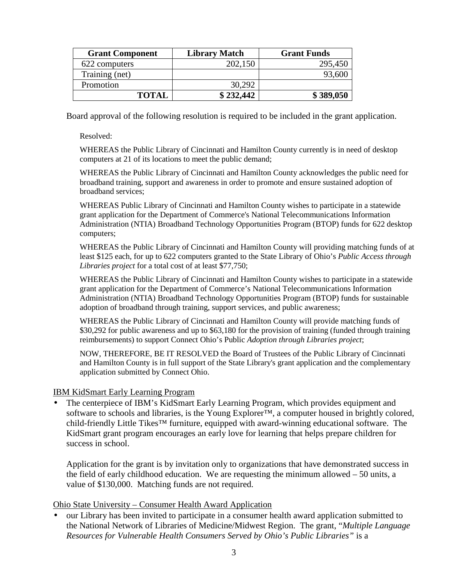| <b>Grant Component</b> | <b>Library Match</b> | <b>Grant Funds</b> |
|------------------------|----------------------|--------------------|
| 622 computers          | 202,150              | 295,450            |
| Training (net)         |                      | 93,600             |
| Promotion              | 30,292               |                    |
| <b>TOTAL</b>           | \$232,442            | \$389,050          |

Board approval of the following resolution is required to be included in the grant application.

Resolved:

WHEREAS the Public Library of Cincinnati and Hamilton County currently is in need of desktop computers at 21 of its locations to meet the public demand;

WHEREAS the Public Library of Cincinnati and Hamilton County acknowledges the public need for broadband training, support and awareness in order to promote and ensure sustained adoption of broadband services;

WHEREAS Public Library of Cincinnati and Hamilton County wishes to participate in a statewide grant application for the Department of Commerce's National Telecommunications Information Administration (NTIA) Broadband Technology Opportunities Program (BTOP) funds for 622 desktop computers;

WHEREAS the Public Library of Cincinnati and Hamilton County will providing matching funds of at least \$125 each, for up to 622 computers granted to the State Library of Ohio's *Public Access through Libraries project* for a total cost of at least \$77,750;

WHEREAS the Public Library of Cincinnati and Hamilton County wishes to participate in a statewide grant application for the Department of Commerce's National Telecommunications Information Administration (NTIA) Broadband Technology Opportunities Program (BTOP) funds for sustainable adoption of broadband through training, support services, and public awareness;

WHEREAS the Public Library of Cincinnati and Hamilton County will provide matching funds of \$30,292 for public awareness and up to \$63,180 for the provision of training (funded through training reimbursements) to support Connect Ohio's Public *Adoption through Libraries project*;

NOW, THEREFORE, BE IT RESOLVED the Board of Trustees of the Public Library of Cincinnati and Hamilton County is in full support of the State Library's grant application and the complementary application submitted by Connect Ohio.

#### IBM KidSmart Early Learning Program

• The centerpiece of IBM's KidSmart Early Learning Program, which provides equipment and software to schools and libraries, is the Young Explorer<sup>™</sup>, a computer housed in brightly colored, child-friendly Little Tikes™ furniture, equipped with award-winning educational software. The KidSmart grant program encourages an early love for learning that helps prepare children for success in school.

Application for the grant is by invitation only to organizations that have demonstrated success in the field of early childhood education. We are requesting the minimum allowed – 50 units, a value of \$130,000. Matching funds are not required.

Ohio State University – Consumer Health Award Application

• our Library has been invited to participate in a consumer health award application submitted to the National Network of Libraries of Medicine/Midwest Region. The grant, "*Multiple Language Resources for Vulnerable Health Consumers Served by Ohio's Public Libraries"* is a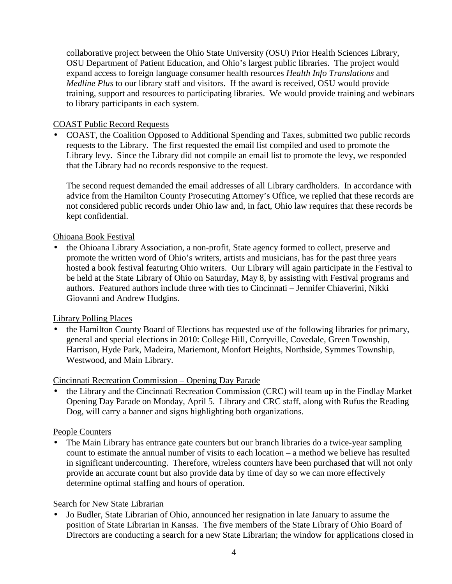collaborative project between the Ohio State University (OSU) Prior Health Sciences Library, OSU Department of Patient Education, and Ohio's largest public libraries. The project would expand access to foreign language consumer health resources *Health Info Translations* and *Medline Plus* to our library staff and visitors. If the award is received, OSU would provide training, support and resources to participating libraries. We would provide training and webinars to library participants in each system.

## COAST Public Record Requests

• COAST, the Coalition Opposed to Additional Spending and Taxes, submitted two public records requests to the Library. The first requested the email list compiled and used to promote the Library levy. Since the Library did not compile an email list to promote the levy, we responded that the Library had no records responsive to the request.

The second request demanded the email addresses of all Library cardholders. In accordance with advice from the Hamilton County Prosecuting Attorney's Office, we replied that these records are not considered public records under Ohio law and, in fact, Ohio law requires that these records be kept confidential.

## Ohioana Book Festival

• the Ohioana Library Association, a non-profit, State agency formed to collect, preserve and promote the written word of Ohio's writers, artists and musicians, has for the past three years hosted a book festival featuring Ohio writers. Our Library will again participate in the Festival to be held at the State Library of Ohio on Saturday, May 8, by assisting with Festival programs and authors. Featured authors include three with ties to Cincinnati – Jennifer Chiaverini, Nikki Giovanni and Andrew Hudgins.

## Library Polling Places

• the Hamilton County Board of Elections has requested use of the following libraries for primary, general and special elections in 2010: College Hill, Corryville, Covedale, Green Township, Harrison, Hyde Park, Madeira, Mariemont, Monfort Heights, Northside, Symmes Township, Westwood, and Main Library.

## Cincinnati Recreation Commission – Opening Day Parade

• the Library and the Cincinnati Recreation Commission (CRC) will team up in the Findlay Market Opening Day Parade on Monday, April 5. Library and CRC staff, along with Rufus the Reading Dog, will carry a banner and signs highlighting both organizations.

## People Counters

• The Main Library has entrance gate counters but our branch libraries do a twice-year sampling count to estimate the annual number of visits to each location – a method we believe has resulted in significant undercounting. Therefore, wireless counters have been purchased that will not only provide an accurate count but also provide data by time of day so we can more effectively determine optimal staffing and hours of operation.

## Search for New State Librarian

• Jo Budler, State Librarian of Ohio, announced her resignation in late January to assume the position of State Librarian in Kansas. The five members of the State Library of Ohio Board of Directors are conducting a search for a new State Librarian; the window for applications closed in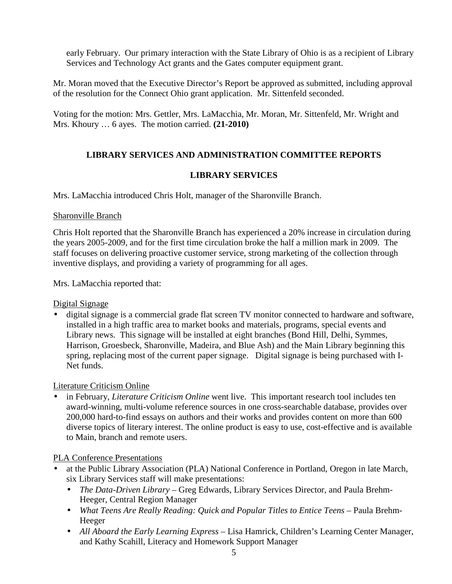early February. Our primary interaction with the State Library of Ohio is as a recipient of Library Services and Technology Act grants and the Gates computer equipment grant.

Mr. Moran moved that the Executive Director's Report be approved as submitted, including approval of the resolution for the Connect Ohio grant application. Mr. Sittenfeld seconded.

Voting for the motion: Mrs. Gettler, Mrs. LaMacchia, Mr. Moran, Mr. Sittenfeld, Mr. Wright and Mrs. Khoury … 6 ayes. The motion carried. **(21-2010)**

# **LIBRARY SERVICES AND ADMINISTRATION COMMITTEE REPORTS**

## **LIBRARY SERVICES**

Mrs. LaMacchia introduced Chris Holt, manager of the Sharonville Branch.

## Sharonville Branch

Chris Holt reported that the Sharonville Branch has experienced a 20% increase in circulation during the years 2005-2009, and for the first time circulation broke the half a million mark in 2009. The staff focuses on delivering proactive customer service, strong marketing of the collection through inventive displays, and providing a variety of programming for all ages.

Mrs. LaMacchia reported that:

Digital Signage

• digital signage is a commercial grade flat screen TV monitor connected to hardware and software, installed in a high traffic area to market books and materials, programs, special events and Library news. This signage will be installed at eight branches (Bond Hill, Delhi, Symmes, Harrison, Groesbeck, Sharonville, Madeira, and Blue Ash) and the Main Library beginning this spring, replacing most of the current paper signage. Digital signage is being purchased with I-Net funds.

## Literature Criticism Online

• in February, *Literature Criticism Online* went live. This important research tool includes ten award-winning, multi-volume reference sources in one cross-searchable database, provides over 200,000 hard-to-find essays on authors and their works and provides content on more than 600 diverse topics of literary interest. The online product is easy to use, cost-effective and is available to Main, branch and remote users.

## PLA Conference Presentations

- at the Public Library Association (PLA) National Conference in Portland, Oregon in late March, six Library Services staff will make presentations:
	- *The Data-Driven Library* Greg Edwards, Library Services Director, and Paula Brehm-Heeger, Central Region Manager
	- *What Teens Are Really Reading: Quick and Popular Titles to Entice Teens Paula Brehm-*Heeger
	- *All Aboard the Early Learning Express* Lisa Hamrick, Children's Learning Center Manager, and Kathy Scahill, Literacy and Homework Support Manager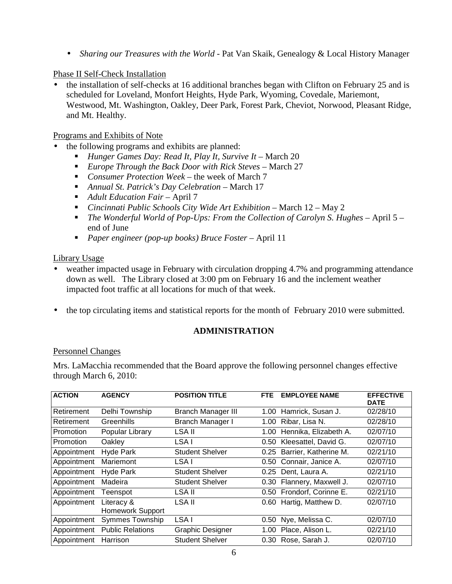• *Sharing our Treasures with the World - Pat Van Skaik, Genealogy & Local History Manager* 

#### Phase II Self-Check Installation

• the installation of self-checks at 16 additional branches began with Clifton on February 25 and is scheduled for Loveland, Monfort Heights, Hyde Park, Wyoming, Covedale, Mariemont, Westwood, Mt. Washington, Oakley, Deer Park, Forest Park, Cheviot, Norwood, Pleasant Ridge, and Mt. Healthy.

#### Programs and Exhibits of Note

- the following programs and exhibits are planned:
	- **Hunger Games Day: Read It, Play It, Survive It March 20**
	- *Europe Through the Back Door with Rick Steves* March 27
	- *Consumer Protection Week* the week of March 7
	- **Annual St. Patrick's Day Celebration March 17**
	- *Adult Education Fair*  April 7
	- *Cincinnati Public Schools City Wide Art Exhibition* March 12 May 2
	- *The Wonderful World of Pop-Ups: From the Collection of Carolyn S. Hughes* April 5 end of June
	- *Paper engineer (pop-up books) Bruce Foster*  April 11

## Library Usage

- weather impacted usage in February with circulation dropping 4.7% and programming attendance down as well. The Library closed at 3:00 pm on February 16 and the inclement weather impacted foot traffic at all locations for much of that week.
- the top circulating items and statistical reports for the month of February 2010 were submitted.

## **ADMINISTRATION**

## Personnel Changes

Mrs. LaMacchia recommended that the Board approve the following personnel changes effective through March 6, 2010:

| <b>ACTION</b> | <b>AGENCY</b>                  | <b>POSITION TITLE</b>     | <b>FTE</b> | <b>EMPLOYEE NAME</b>      | <b>EFFECTIVE</b><br><b>DATE</b> |
|---------------|--------------------------------|---------------------------|------------|---------------------------|---------------------------------|
| Retirement    | Delhi Township                 | <b>Branch Manager III</b> | 1.00       | Hamrick, Susan J.         | 02/28/10                        |
| Retirement    | Greenhills                     | Branch Manager I          | 1.00       | Ribar, Lisa N.            | 02/28/10                        |
| Promotion     | Popular Library                | LSA II                    | 1.00       | Hennika, Elizabeth A.     | 02/07/10                        |
| Promotion     | Oakley                         | LSA I                     | 0.50       | Kleesattel, David G.      | 02/07/10                        |
| Appointment   | <b>Hyde Park</b>               | <b>Student Shelver</b>    | 0.25       | Barrier, Katherine M.     | 02/21/10                        |
| Appointment   | Mariemont                      | LSA I                     | 0.50       | Connair, Janice A.        | 02/07/10                        |
| Appointment   | <b>Hyde Park</b>               | <b>Student Shelver</b>    | 0.25       | Dent, Laura A.            | 02/21/10                        |
| Appointment   | Madeira                        | <b>Student Shelver</b>    |            | 0.30 Flannery, Maxwell J. | 02/07/10                        |
| Appointment   | Teenspot                       | LSA II                    |            | 0.50 Frondorf, Corinne E. | 02/21/10                        |
| Appointment   | Literacy &<br>Homework Support | LSA II                    | 0.60       | Hartig, Matthew D.        | 02/07/10                        |
| Appointment   | <b>Symmes Township</b>         | LSA I                     | 0.50       | Nye, Melissa C.           | 02/07/10                        |
| Appointment   | <b>Public Relations</b>        | <b>Graphic Designer</b>   | 1.00       | Place, Alison L.          | 02/21/10                        |
| Appointment   | Harrison                       | <b>Student Shelver</b>    | 0.30       | Rose, Sarah J.            | 02/07/10                        |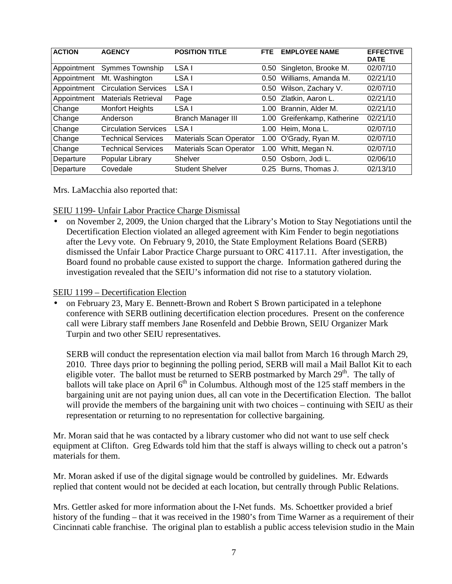| <b>ACTION</b> | <b>AGENCY</b>               | <b>POSITION TITLE</b>          | FTE. | <b>EMPLOYEE NAME</b>   | <b>EFFECTIVE</b><br><b>DATE</b> |
|---------------|-----------------------------|--------------------------------|------|------------------------|---------------------------------|
| Appointment   | <b>Symmes Township</b>      | LSA I                          | 0.50 | Singleton, Brooke M.   | 02/07/10                        |
| Appointment   | Mt. Washington              | LSA I                          | 0.50 | Williams, Amanda M.    | 02/21/10                        |
| Appointment   | <b>Circulation Services</b> | LSA I                          | 0.50 | Wilson, Zachary V.     | 02/07/10                        |
| Appointment   | <b>Materials Retrieval</b>  | Page                           | 0.50 | Zlatkin, Aaron L.      | 02/21/10                        |
| Change        | <b>Monfort Heights</b>      | LSA I                          | 1.00 | Brannin, Alder M.      | 02/21/10                        |
| Change        | Anderson                    | <b>Branch Manager III</b>      | 1.00 | Greifenkamp, Katherine | 02/21/10                        |
| Change        | <b>Circulation Services</b> | LSA I                          |      | 1.00 Heim, Mona L.     | 02/07/10                        |
| Change        | <b>Technical Services</b>   | <b>Materials Scan Operator</b> | 1.00 | O'Grady, Ryan M.       | 02/07/10                        |
| Change        | <b>Technical Services</b>   | <b>Materials Scan Operator</b> | 1.00 | Whitt, Megan N.        | 02/07/10                        |
| Departure     | Popular Library             | Shelver                        | 0.50 | Osborn, Jodi L.        | 02/06/10                        |
| Departure     | Covedale                    | <b>Student Shelver</b>         | 0.25 | Burns, Thomas J.       | 02/13/10                        |

Mrs. LaMacchia also reported that:

SEIU 1199- Unfair Labor Practice Charge Dismissal

• on November 2, 2009, the Union charged that the Library's Motion to Stay Negotiations until the Decertification Election violated an alleged agreement with Kim Fender to begin negotiations after the Levy vote. On February 9, 2010, the State Employment Relations Board (SERB) dismissed the Unfair Labor Practice Charge pursuant to ORC 4117.11. After investigation, the Board found no probable cause existed to support the charge. Information gathered during the investigation revealed that the SEIU's information did not rise to a statutory violation.

## SEIU 1199 – Decertification Election

• on February 23, Mary E. Bennett-Brown and Robert S Brown participated in a telephone conference with SERB outlining decertification election procedures. Present on the conference call were Library staff members Jane Rosenfeld and Debbie Brown, SEIU Organizer Mark Turpin and two other SEIU representatives.

SERB will conduct the representation election via mail ballot from March 16 through March 29, 2010. Three days prior to beginning the polling period, SERB will mail a Mail Ballot Kit to each eligible voter. The ballot must be returned to SERB postmarked by March  $29<sup>th</sup>$ . The tally of ballots will take place on April  $6<sup>th</sup>$  in Columbus. Although most of the 125 staff members in the bargaining unit are not paying union dues, all can vote in the Decertification Election. The ballot will provide the members of the bargaining unit with two choices – continuing with SEIU as their representation or returning to no representation for collective bargaining.

Mr. Moran said that he was contacted by a library customer who did not want to use self check equipment at Clifton. Greg Edwards told him that the staff is always willing to check out a patron's materials for them.

Mr. Moran asked if use of the digital signage would be controlled by guidelines. Mr. Edwards replied that content would not be decided at each location, but centrally through Public Relations.

Mrs. Gettler asked for more information about the I-Net funds. Ms. Schoettker provided a brief history of the funding – that it was received in the 1980's from Time Warner as a requirement of their Cincinnati cable franchise. The original plan to establish a public access television studio in the Main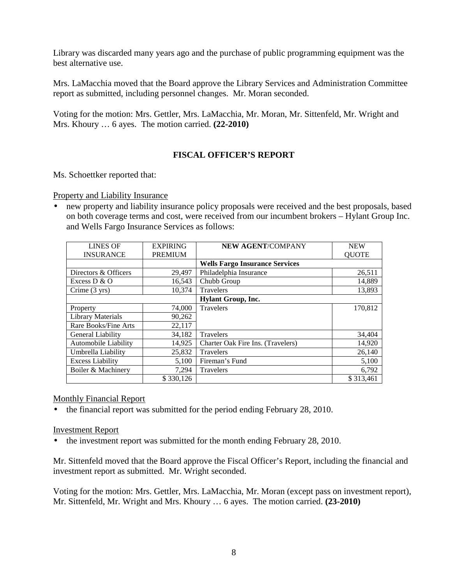Library was discarded many years ago and the purchase of public programming equipment was the best alternative use.

Mrs. LaMacchia moved that the Board approve the Library Services and Administration Committee report as submitted, including personnel changes. Mr. Moran seconded.

Voting for the motion: Mrs. Gettler, Mrs. LaMacchia, Mr. Moran, Mr. Sittenfeld, Mr. Wright and Mrs. Khoury … 6 ayes. The motion carried. **(22-2010)**

## **FISCAL OFFICER'S REPORT**

Ms. Schoettker reported that:

Property and Liability Insurance

• new property and liability insurance policy proposals were received and the best proposals, based on both coverage terms and cost, were received from our incumbent brokers – Hylant Group Inc. and Wells Fargo Insurance Services as follows:

| <b>LINES OF</b>          | <b>EXPIRING</b> | <b>NEW AGENT/COMPANY</b>              | <b>NEW</b>   |  |  |
|--------------------------|-----------------|---------------------------------------|--------------|--|--|
| <b>INSURANCE</b>         | <b>PREMIUM</b>  |                                       | <b>QUOTE</b> |  |  |
|                          |                 | <b>Wells Fargo Insurance Services</b> |              |  |  |
| Directors & Officers     | 29,497          | Philadelphia Insurance                | 26,511       |  |  |
| Excess $D & O$           | 16,543          | Chubb Group                           | 14,889       |  |  |
| Crime $(3 \text{ yrs})$  | 10.374          | Travelers                             | 13,893       |  |  |
|                          |                 | <b>Hylant Group, Inc.</b>             |              |  |  |
| Property                 | 74,000          | <b>Travelers</b>                      | 170,812      |  |  |
| <b>Library Materials</b> | 90,262          |                                       |              |  |  |
| Rare Books/Fine Arts     | 22,117          |                                       |              |  |  |
| General Liability        | 34,182          | <b>Travelers</b>                      | 34,404       |  |  |
| Automobile Liability     | 14,925          | Charter Oak Fire Ins. (Travelers)     | 14,920       |  |  |
| Umbrella Liability       | 25,832          | <b>Travelers</b>                      | 26,140       |  |  |
| <b>Excess Liability</b>  | 5,100           | Fireman's Fund                        | 5,100        |  |  |
| Boiler & Machinery       | 7,294           | Travelers                             | 6,792        |  |  |
|                          | \$330,126       |                                       | \$313.461    |  |  |

#### Monthly Financial Report

• the financial report was submitted for the period ending February 28, 2010.

#### Investment Report

• the investment report was submitted for the month ending February 28, 2010.

Mr. Sittenfeld moved that the Board approve the Fiscal Officer's Report, including the financial and investment report as submitted. Mr. Wright seconded.

Voting for the motion: Mrs. Gettler, Mrs. LaMacchia, Mr. Moran (except pass on investment report), Mr. Sittenfeld, Mr. Wright and Mrs. Khoury … 6 ayes. The motion carried. **(23-2010)**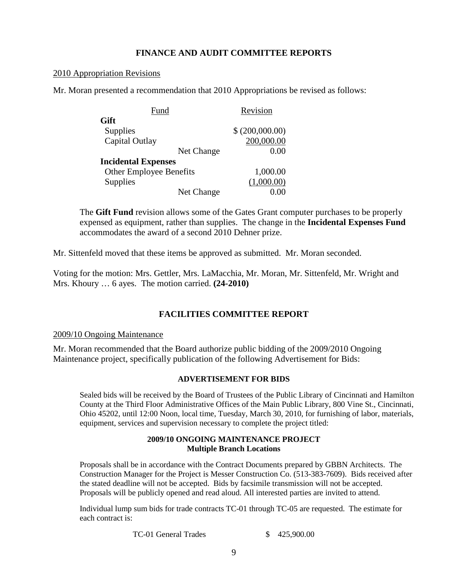#### **FINANCE AND AUDIT COMMITTEE REPORTS**

#### 2010 Appropriation Revisions

Mr. Moran presented a recommendation that 2010 Appropriations be revised as follows:

| Fund                           | Revision        |
|--------------------------------|-----------------|
| Gift                           |                 |
| Supplies                       | \$ (200,000.00) |
| Capital Outlay                 | 200,000.00      |
| Net Change                     | 0.00            |
| <b>Incidental Expenses</b>     |                 |
| <b>Other Employee Benefits</b> | 1,000.00        |
| Supplies                       | (1,000.00)      |
| Net Change                     |                 |

The **Gift Fund** revision allows some of the Gates Grant computer purchases to be properly expensed as equipment, rather than supplies. The change in the **Incidental Expenses Fund** accommodates the award of a second 2010 Dehner prize.

Mr. Sittenfeld moved that these items be approved as submitted. Mr. Moran seconded.

Voting for the motion: Mrs. Gettler, Mrs. LaMacchia, Mr. Moran, Mr. Sittenfeld, Mr. Wright and Mrs. Khoury … 6 ayes. The motion carried. **(24-2010)** 

## **FACILITIES COMMITTEE REPORT**

#### 2009/10 Ongoing Maintenance

Mr. Moran recommended that the Board authorize public bidding of the 2009/2010 Ongoing Maintenance project, specifically publication of the following Advertisement for Bids:

#### **ADVERTISEMENT FOR BIDS**

Sealed bids will be received by the Board of Trustees of the Public Library of Cincinnati and Hamilton County at the Third Floor Administrative Offices of the Main Public Library, 800 Vine St., Cincinnati, Ohio 45202, until 12:00 Noon, local time, Tuesday, March 30, 2010, for furnishing of labor, materials, equipment, services and supervision necessary to complete the project titled:

#### **2009/10 ONGOING MAINTENANCE PROJECT Multiple Branch Locations**

Proposals shall be in accordance with the Contract Documents prepared by GBBN Architects. The Construction Manager for the Project is Messer Construction Co. (513-383-7609). Bids received after the stated deadline will not be accepted. Bids by facsimile transmission will not be accepted. Proposals will be publicly opened and read aloud. All interested parties are invited to attend.

Individual lump sum bids for trade contracts TC-01 through TC-05 are requested. The estimate for each contract is:

TC-01 General Trades \$ 425,900.00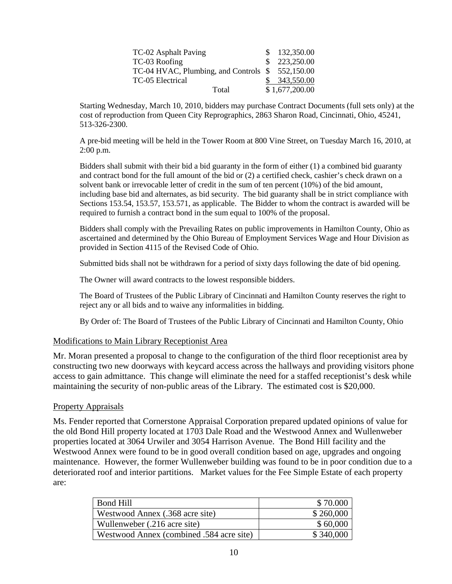| TC-02 Asphalt Paving                            | \$132,350.00   |
|-------------------------------------------------|----------------|
| TC-03 Roofing                                   | \$223,250.00   |
| TC-04 HVAC, Plumbing, and Controls \$552,150.00 |                |
| TC-05 Electrical                                | \$343,550.00   |
| Total                                           | \$1,677,200.00 |

Starting Wednesday, March 10, 2010, bidders may purchase Contract Documents (full sets only) at the cost of reproduction from Queen City Reprographics, 2863 Sharon Road, Cincinnati, Ohio, 45241, 513-326-2300.

A pre-bid meeting will be held in the Tower Room at 800 Vine Street, on Tuesday March 16, 2010, at 2:00 p.m.

Bidders shall submit with their bid a bid guaranty in the form of either (1) a combined bid guaranty and contract bond for the full amount of the bid or (2) a certified check, cashier's check drawn on a solvent bank or irrevocable letter of credit in the sum of ten percent (10%) of the bid amount, including base bid and alternates, as bid security. The bid guaranty shall be in strict compliance with Sections 153.54, 153.57, 153.571, as applicable. The Bidder to whom the contract is awarded will be required to furnish a contract bond in the sum equal to 100% of the proposal.

Bidders shall comply with the Prevailing Rates on public improvements in Hamilton County, Ohio as ascertained and determined by the Ohio Bureau of Employment Services Wage and Hour Division as provided in Section 4115 of the Revised Code of Ohio.

Submitted bids shall not be withdrawn for a period of sixty days following the date of bid opening.

The Owner will award contracts to the lowest responsible bidders.

The Board of Trustees of the Public Library of Cincinnati and Hamilton County reserves the right to reject any or all bids and to waive any informalities in bidding.

By Order of: The Board of Trustees of the Public Library of Cincinnati and Hamilton County, Ohio

#### Modifications to Main Library Receptionist Area

Mr. Moran presented a proposal to change to the configuration of the third floor receptionist area by constructing two new doorways with keycard access across the hallways and providing visitors phone access to gain admittance. This change will eliminate the need for a staffed receptionist's desk while maintaining the security of non-public areas of the Library. The estimated cost is \$20,000.

#### Property Appraisals

Ms. Fender reported that Cornerstone Appraisal Corporation prepared updated opinions of value for the old Bond Hill property located at 1703 Dale Road and the Westwood Annex and Wullenweber properties located at 3064 Urwiler and 3054 Harrison Avenue. The Bond Hill facility and the Westwood Annex were found to be in good overall condition based on age, upgrades and ongoing maintenance. However, the former Wullenweber building was found to be in poor condition due to a deteriorated roof and interior partitions. Market values for the Fee Simple Estate of each property are:

| <b>Bond Hill</b>                         | \$70.000  |
|------------------------------------------|-----------|
| Westwood Annex (.368 acre site)          | \$260,000 |
| Wullenweber (.216 acre site)             | \$60,000  |
| Westwood Annex (combined .584 acre site) | \$340,000 |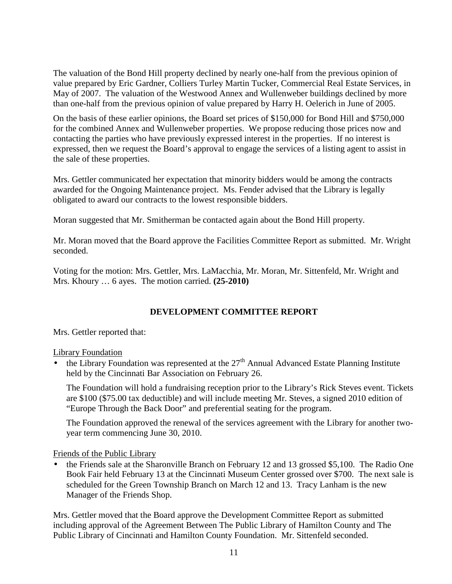The valuation of the Bond Hill property declined by nearly one-half from the previous opinion of value prepared by Eric Gardner, Colliers Turley Martin Tucker, Commercial Real Estate Services, in May of 2007. The valuation of the Westwood Annex and Wullenweber buildings declined by more than one-half from the previous opinion of value prepared by Harry H. Oelerich in June of 2005.

On the basis of these earlier opinions, the Board set prices of \$150,000 for Bond Hill and \$750,000 for the combined Annex and Wullenweber properties. We propose reducing those prices now and contacting the parties who have previously expressed interest in the properties. If no interest is expressed, then we request the Board's approval to engage the services of a listing agent to assist in the sale of these properties.

Mrs. Gettler communicated her expectation that minority bidders would be among the contracts awarded for the Ongoing Maintenance project. Ms. Fender advised that the Library is legally obligated to award our contracts to the lowest responsible bidders.

Moran suggested that Mr. Smitherman be contacted again about the Bond Hill property.

Mr. Moran moved that the Board approve the Facilities Committee Report as submitted. Mr. Wright seconded.

Voting for the motion: Mrs. Gettler, Mrs. LaMacchia, Mr. Moran, Mr. Sittenfeld, Mr. Wright and Mrs. Khoury … 6 ayes. The motion carried. **(25-2010)** 

## **DEVELOPMENT COMMITTEE REPORT**

Mrs. Gettler reported that:

Library Foundation

• the Library Foundation was represented at the  $27<sup>th</sup>$  Annual Advanced Estate Planning Institute held by the Cincinnati Bar Association on February 26.

The Foundation will hold a fundraising reception prior to the Library's Rick Steves event. Tickets are \$100 (\$75.00 tax deductible) and will include meeting Mr. Steves, a signed 2010 edition of "Europe Through the Back Door" and preferential seating for the program.

The Foundation approved the renewal of the services agreement with the Library for another twoyear term commencing June 30, 2010.

Friends of the Public Library

• the Friends sale at the Sharonville Branch on February 12 and 13 grossed \$5,100. The Radio One Book Fair held February 13 at the Cincinnati Museum Center grossed over \$700. The next sale is scheduled for the Green Township Branch on March 12 and 13. Tracy Lanham is the new Manager of the Friends Shop.

Mrs. Gettler moved that the Board approve the Development Committee Report as submitted including approval of the Agreement Between The Public Library of Hamilton County and The Public Library of Cincinnati and Hamilton County Foundation. Mr. Sittenfeld seconded.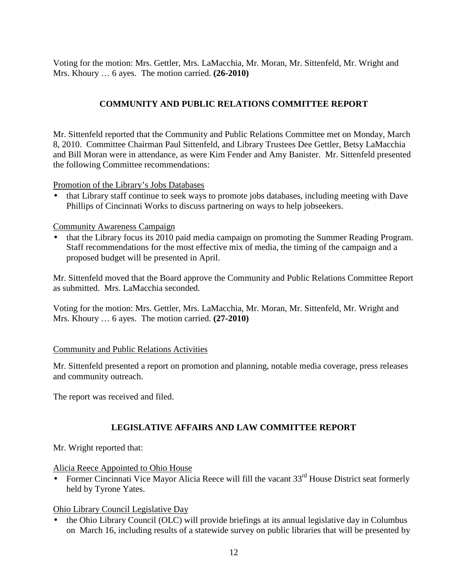Voting for the motion: Mrs. Gettler, Mrs. LaMacchia, Mr. Moran, Mr. Sittenfeld, Mr. Wright and Mrs. Khoury … 6 ayes. The motion carried. **(26-2010)** 

# **COMMUNITY AND PUBLIC RELATIONS COMMITTEE REPORT**

Mr. Sittenfeld reported that the Community and Public Relations Committee met on Monday, March 8, 2010. Committee Chairman Paul Sittenfeld, and Library Trustees Dee Gettler, Betsy LaMacchia and Bill Moran were in attendance, as were Kim Fender and Amy Banister. Mr. Sittenfeld presented the following Committee recommendations:

#### Promotion of the Library's Jobs Databases

• that Library staff continue to seek ways to promote jobs databases, including meeting with Dave Phillips of Cincinnati Works to discuss partnering on ways to help jobseekers.

## Community Awareness Campaign

• that the Library focus its 2010 paid media campaign on promoting the Summer Reading Program. Staff recommendations for the most effective mix of media, the timing of the campaign and a proposed budget will be presented in April.

Mr. Sittenfeld moved that the Board approve the Community and Public Relations Committee Report as submitted. Mrs. LaMacchia seconded.

Voting for the motion: Mrs. Gettler, Mrs. LaMacchia, Mr. Moran, Mr. Sittenfeld, Mr. Wright and Mrs. Khoury … 6 ayes. The motion carried. **(27-2010)** 

## Community and Public Relations Activities

Mr. Sittenfeld presented a report on promotion and planning, notable media coverage, press releases and community outreach.

The report was received and filed.

# **LEGISLATIVE AFFAIRS AND LAW COMMITTEE REPORT**

Mr. Wright reported that:

#### Alicia Reece Appointed to Ohio House

• Former Cincinnati Vice Mayor Alicia Reece will fill the vacant  $33<sup>rd</sup>$  House District seat formerly held by Tyrone Yates.

Ohio Library Council Legislative Day

• the Ohio Library Council (OLC) will provide briefings at its annual legislative day in Columbus on March 16, including results of a statewide survey on public libraries that will be presented by